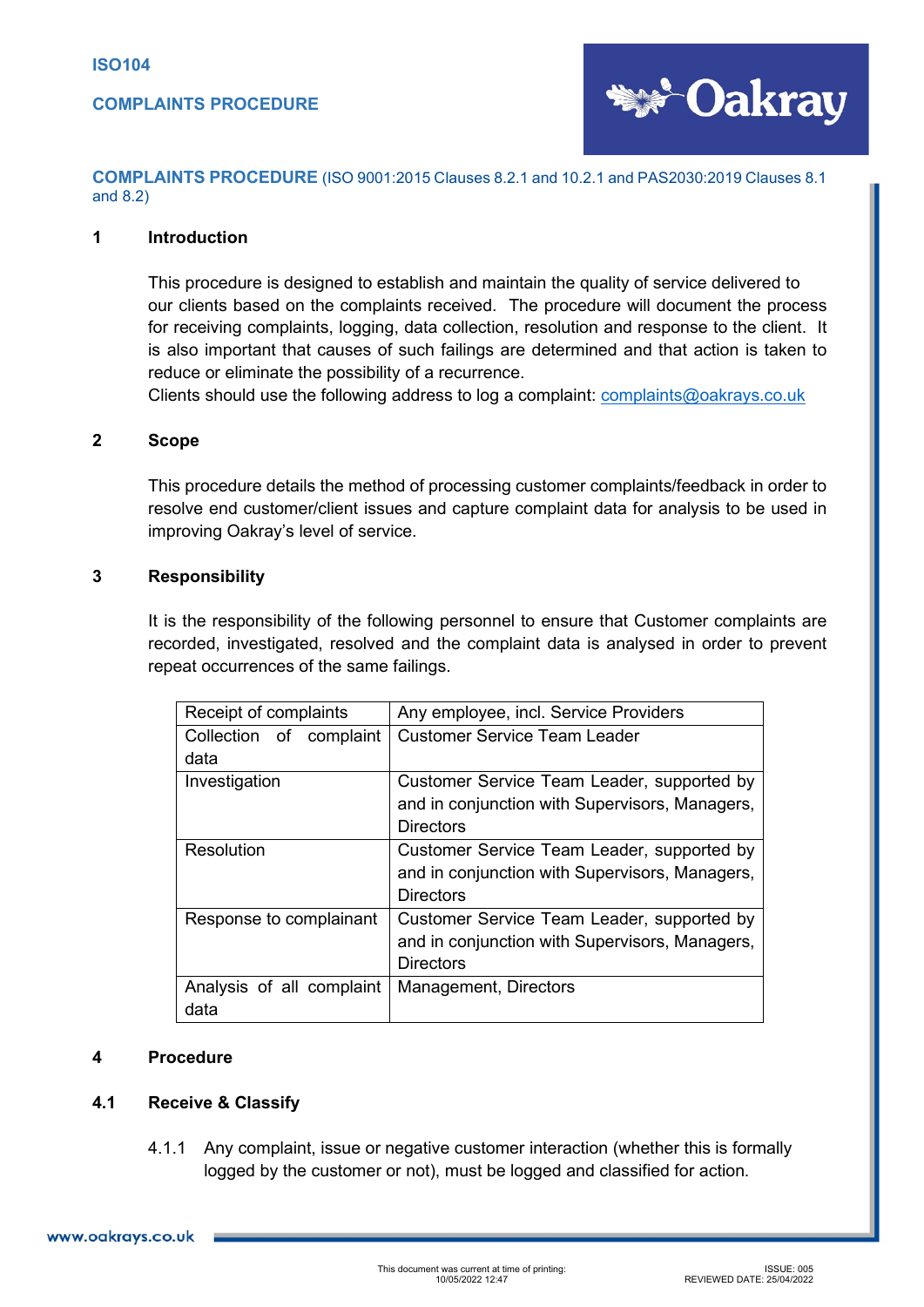

**COMPLAINTS PROCEDURE** (ISO 9001:2015 Clauses 8.2.1 and 10.2.1 and PAS2030:2019 Clauses 8.1 and 8.2)

### **1 Introduction**

This procedure is designed to establish and maintain the quality of service delivered to our clients based on the complaints received. The procedure will document the process for receiving complaints, logging, data collection, resolution and response to the client. It is also important that causes of such failings are determined and that action is taken to reduce or eliminate the possibility of a recurrence.

Clients should use the following address to log a complaint: [complaints@oakrays.co.uk](mailto:complaints@oakrays.co.uk)

#### **2 Scope**

This procedure details the method of processing customer complaints/feedback in order to resolve end customer/client issues and capture complaint data for analysis to be used in improving Oakray's level of service.

### **3 Responsibility**

It is the responsibility of the following personnel to ensure that Customer complaints are recorded, investigated, resolved and the complaint data is analysed in order to prevent repeat occurrences of the same failings.

| Receipt of complaints     | Any employee, incl. Service Providers          |
|---------------------------|------------------------------------------------|
| Collection of complaint   | <b>Customer Service Team Leader</b>            |
| data                      |                                                |
| Investigation             | Customer Service Team Leader, supported by     |
|                           | and in conjunction with Supervisors, Managers, |
|                           | <b>Directors</b>                               |
| <b>Resolution</b>         | Customer Service Team Leader, supported by     |
|                           | and in conjunction with Supervisors, Managers, |
|                           | <b>Directors</b>                               |
| Response to complainant   | Customer Service Team Leader, supported by     |
|                           | and in conjunction with Supervisors, Managers, |
|                           | <b>Directors</b>                               |
| Analysis of all complaint | Management, Directors                          |
| data                      |                                                |

### **4 Procedure**

### **4.1 Receive & Classify**

4.1.1 Any complaint, issue or negative customer interaction (whether this is formally logged by the customer or not), must be logged and classified for action.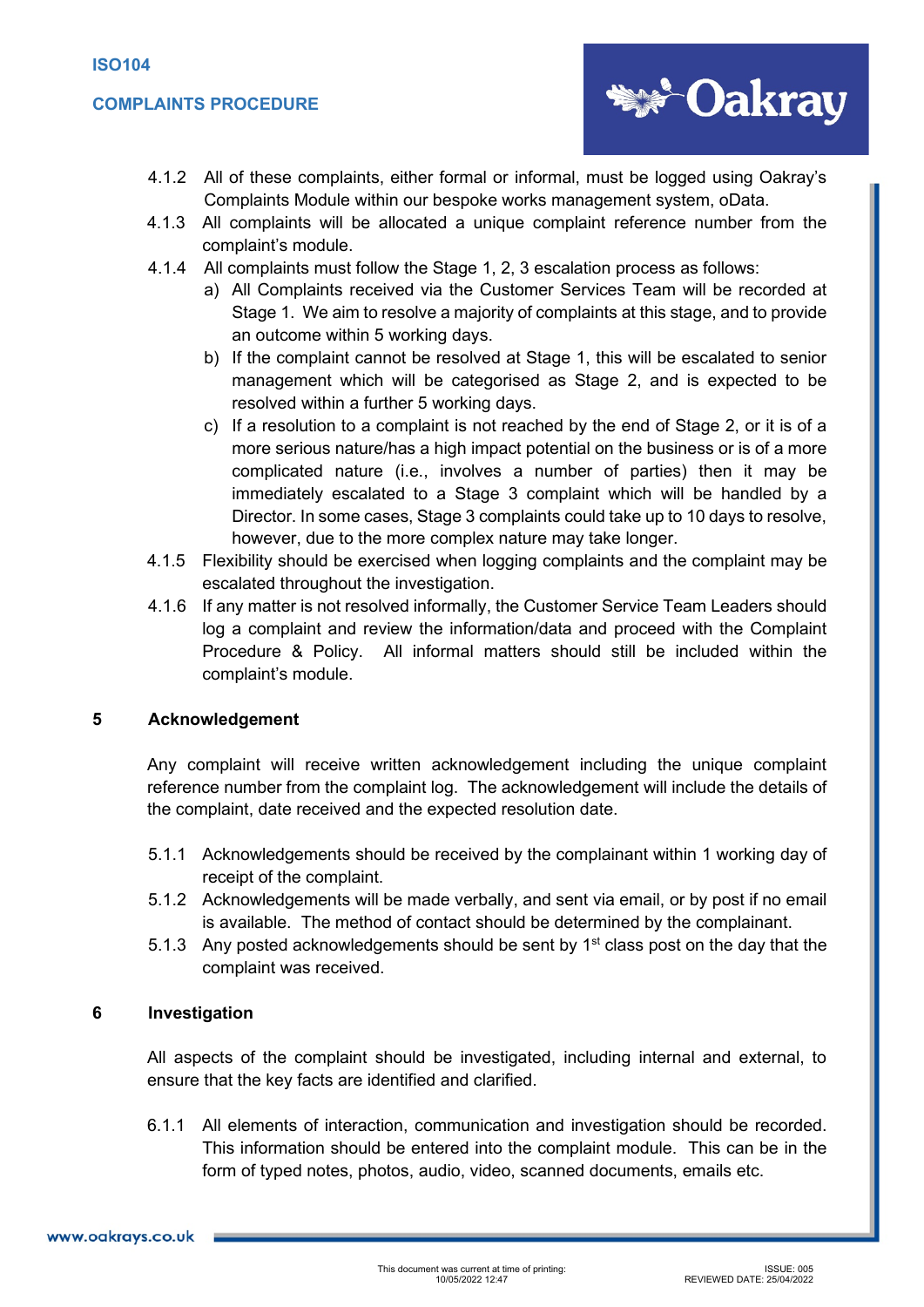## **COMPLAINTS PROCEDURE**



- 4.1.2 All of these complaints, either formal or informal, must be logged using Oakray's Complaints Module within our bespoke works management system, oData.
- 4.1.3 All complaints will be allocated a unique complaint reference number from the complaint's module.
- 4.1.4 All complaints must follow the Stage 1, 2, 3 escalation process as follows:
	- a) All Complaints received via the Customer Services Team will be recorded at Stage 1. We aim to resolve a majority of complaints at this stage, and to provide an outcome within 5 working days.
	- b) If the complaint cannot be resolved at Stage 1, this will be escalated to senior management which will be categorised as Stage 2, and is expected to be resolved within a further 5 working days.
	- c) If a resolution to a complaint is not reached by the end of Stage 2, or it is of a more serious nature/has a high impact potential on the business or is of a more complicated nature (i.e., involves a number of parties) then it may be immediately escalated to a Stage 3 complaint which will be handled by a Director. In some cases, Stage 3 complaints could take up to 10 days to resolve, however, due to the more complex nature may take longer.
- 4.1.5 Flexibility should be exercised when logging complaints and the complaint may be escalated throughout the investigation.
- 4.1.6 If any matter is not resolved informally, the Customer Service Team Leaders should log a complaint and review the information/data and proceed with the Complaint Procedure & Policy. All informal matters should still be included within the complaint's module.

### **5 Acknowledgement**

Any complaint will receive written acknowledgement including the unique complaint reference number from the complaint log. The acknowledgement will include the details of the complaint, date received and the expected resolution date.

- 5.1.1 Acknowledgements should be received by the complainant within 1 working day of receipt of the complaint.
- 5.1.2 Acknowledgements will be made verbally, and sent via email, or by post if no email is available. The method of contact should be determined by the complainant.
- 5.1.3 Any posted acknowledgements should be sent by  $1<sup>st</sup>$  class post on the day that the complaint was received.

### **6 Investigation**

All aspects of the complaint should be investigated, including internal and external, to ensure that the key facts are identified and clarified.

6.1.1 All elements of interaction, communication and investigation should be recorded. This information should be entered into the complaint module. This can be in the form of typed notes, photos, audio, video, scanned documents, emails etc.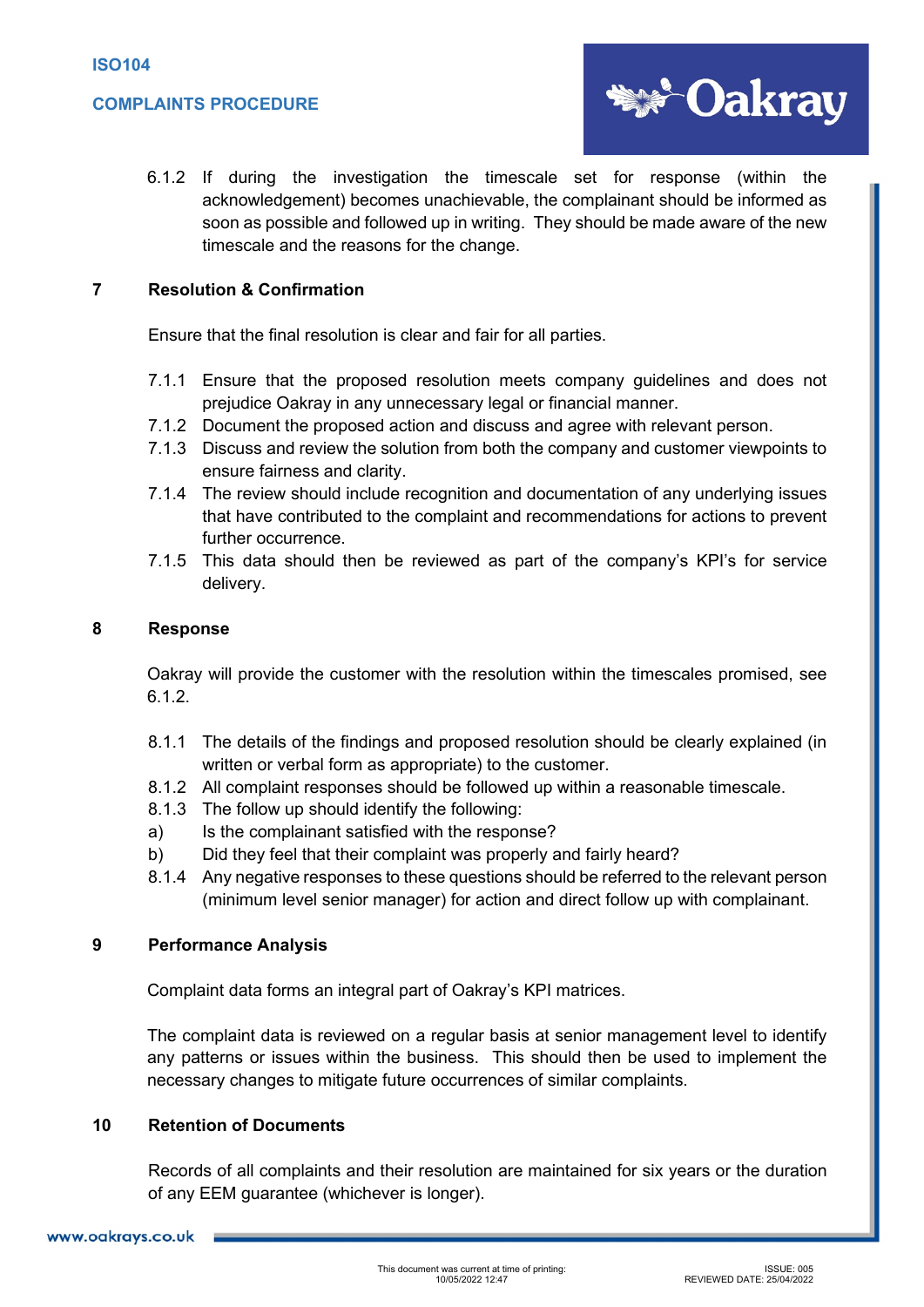

6.1.2 If during the investigation the timescale set for response (within the acknowledgement) becomes unachievable, the complainant should be informed as soon as possible and followed up in writing. They should be made aware of the new timescale and the reasons for the change.

# **7 Resolution & Confirmation**

Ensure that the final resolution is clear and fair for all parties.

- 7.1.1 Ensure that the proposed resolution meets company guidelines and does not prejudice Oakray in any unnecessary legal or financial manner.
- 7.1.2 Document the proposed action and discuss and agree with relevant person.
- 7.1.3 Discuss and review the solution from both the company and customer viewpoints to ensure fairness and clarity.
- 7.1.4 The review should include recognition and documentation of any underlying issues that have contributed to the complaint and recommendations for actions to prevent further occurrence.
- 7.1.5 This data should then be reviewed as part of the company's KPI's for service delivery.

### **8 Response**

Oakray will provide the customer with the resolution within the timescales promised, see 6.1.2.

- 8.1.1 The details of the findings and proposed resolution should be clearly explained (in written or verbal form as appropriate) to the customer.
- 8.1.2 All complaint responses should be followed up within a reasonable timescale.
- 8.1.3 The follow up should identify the following:
- a) Is the complainant satisfied with the response?
- b) Did they feel that their complaint was properly and fairly heard?
- 8.1.4 Any negative responses to these questions should be referred to the relevant person (minimum level senior manager) for action and direct follow up with complainant.

# **9 Performance Analysis**

Complaint data forms an integral part of Oakray's KPI matrices.

The complaint data is reviewed on a regular basis at senior management level to identify any patterns or issues within the business. This should then be used to implement the necessary changes to mitigate future occurrences of similar complaints.

### **10 Retention of Documents**

Records of all complaints and their resolution are maintained for six years or the duration of any EEM guarantee (whichever is longer).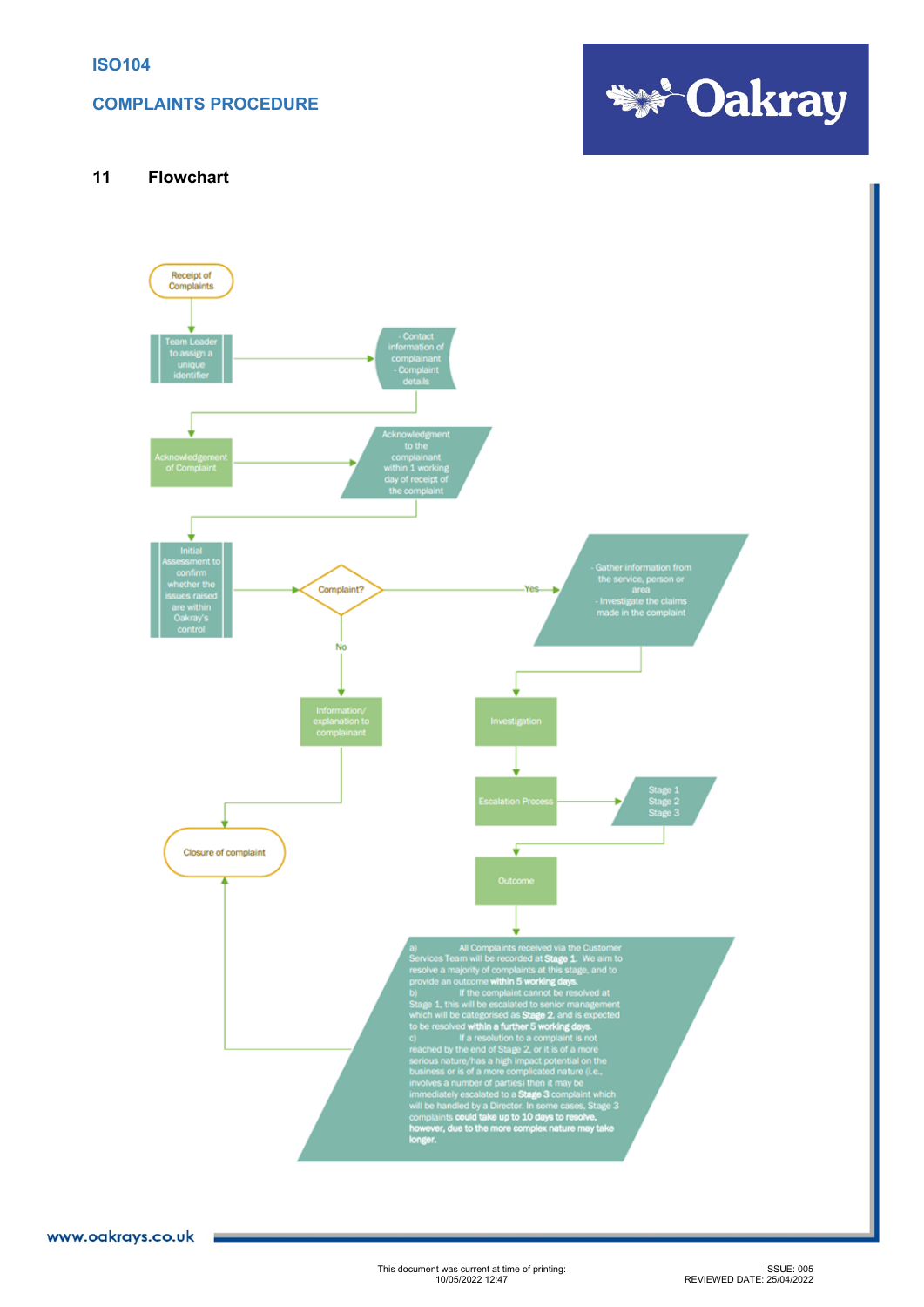## **COMPLAINTS PROCEDURE**



### **11 Flowchart**